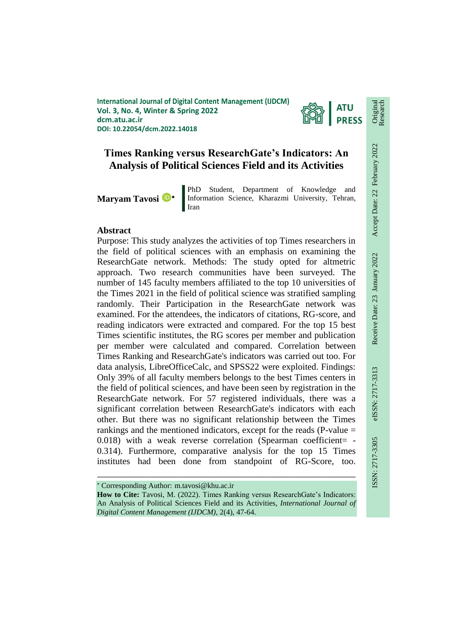**International Journal of Digital Content Management (IJDCM) Vol. 3, No. 4, Winter & Spring 2022 dcm.atu.ac.ir DOI: 10.22054/dcm.2022.14018**



# **Times Ranking versus ResearchGate's Indicators: An Analysis of Political Sciences Field and its Activities**

**Maryam Tavosi**

PhD Student, Department of Knowledge and Information Science, Kharazmi University, Tehran, Iran

### **Abstract**

Purpose: This study analyzes the activities of top Times researchers in the field of political sciences with an emphasis on examining the ResearchGate network. Methods: The study opted for altmetric approach. Two research communities have been surveyed. The number of 145 faculty members affiliated to the top 10 universities of the Times 2021 in the field of political science was stratified sampling randomly. Their Participation in the ResearchGate network was examined. For the attendees, the indicators of citations, RG-score, and reading indicators were extracted and compared. For the top 15 best Times scientific institutes, the RG scores per member and publication per member were calculated and compared. Correlation between Times Ranking and ResearchGate's indicators was carried out too. For data analysis, LibreOfficeCalc, and SPSS22 were exploited. Findings: Only 39% of all faculty members belongs to the best Times centers in the field of political sciences, and have been seen by registration in the ResearchGate network. For 57 registered individuals, there was a significant correlation between ResearchGate's indicators with each other. But there was no significant relationship between the Times rankings and the mentioned indicators, except for the reads (P-value =  $0.018$ ) with a weak reverse correlation (Spearman coefficient= -0.314). Furthermore, comparative analysis for the top 15 Times institutes had been done from standpoint of RG-Score, too.

Corresponding Author: m.tavosi@khu.ac.ir

**How to Cite:** Tavosi, M. (2022). Times Ranking versus ResearchGate's Indicators: An Analysis of Political Sciences Field and its Activities, *International Journal of Digital Content Management (IJDCM)*, 2(4), 47-64.

ـــــــــــــــــــــــــــــــــــــــــــــــــــــــــــــــــــــــــــــــــــــــــــــــــــــــــــــــــــــــــــــ

Original Research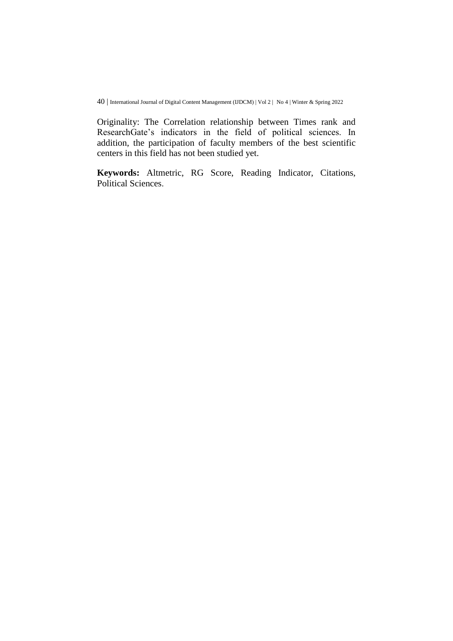Originality: The Correlation relationship between Times rank and ResearchGate's indicators in the field of political sciences. In addition, the participation of faculty members of the best scientific centers in this field has not been studied yet.

**Keywords:** Altmetric, RG Score, Reading Indicator, Citations, Political Sciences.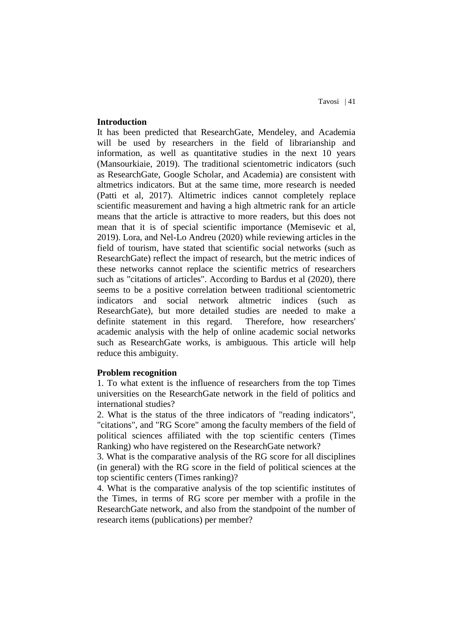### **Introduction**

It has been predicted that ResearchGate, Mendeley, and Academia will be used by researchers in the field of librarianship and information, as well as quantitative studies in the next 10 years (Mansourkiaie, 2019). The traditional scientometric indicators (such as ResearchGate, Google Scholar, and Academia) are consistent with altmetrics indicators. But at the same time, more research is needed (Patti et al, 2017). Altimetric indices cannot completely replace scientific measurement and having a high altmetric rank for an article means that the article is attractive to more readers, but this does not mean that it is of special scientific importance (Memisevic et al, 2019). Lora, and Nel-Lo Andreu (2020) while reviewing articles in the field of tourism, have stated that scientific social networks (such as ResearchGate) reflect the impact of research, but the metric indices of these networks cannot replace the scientific metrics of researchers such as "citations of articles". According to Bardus et al (2020), there seems to be a positive correlation between traditional scientometric indicators and social network altmetric indices (such as ResearchGate), but more detailed studies are needed to make a definite statement in this regard. Therefore, how researchers' academic analysis with the help of online academic social networks such as ResearchGate works, is ambiguous. This article will help reduce this ambiguity.

#### **Problem recognition**

1. To what extent is the influence of researchers from the top Times universities on the ResearchGate network in the field of politics and international studies?

2. What is the status of the three indicators of "reading indicators", "citations", and "RG Score" among the faculty members of the field of political sciences affiliated with the top scientific centers (Times Ranking) who have registered on the ResearchGate network?

3. What is the comparative analysis of the RG score for all disciplines (in general) with the RG score in the field of political sciences at the top scientific centers (Times ranking)?

4. What is the comparative analysis of the top scientific institutes of the Times, in terms of RG score per member with a profile in the ResearchGate network, and also from the standpoint of the number of research items (publications) per member?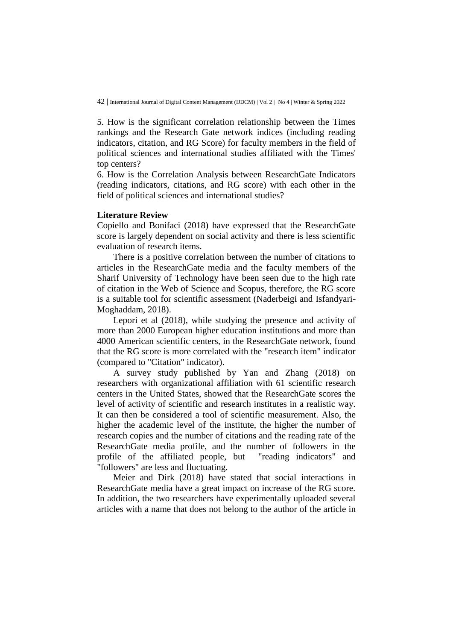5. How is the significant correlation relationship between the Times rankings and the Research Gate network indices (including reading indicators, citation, and RG Score) for faculty members in the field of political sciences and international studies affiliated with the Times' top centers?

6. How is the Correlation Analysis between ResearchGate Indicators (reading indicators, citations, and RG score) with each other in the field of political sciences and international studies?

## **Literature Review**

Copiello and Bonifaci (2018) have expressed that the ResearchGate score is largely dependent on social activity and there is less scientific evaluation of research items.

There is a positive correlation between the number of citations to articles in the ResearchGate media and the faculty members of the Sharif University of Technology have been seen due to the high rate of citation in the Web of Science and Scopus, therefore, the RG score is a suitable tool for scientific assessment (Naderbeigi and Isfandyari-Moghaddam, 2018).

Lepori et al (2018), while studying the presence and activity of more than 2000 European higher education institutions and more than 4000 American scientific centers, in the ResearchGate network, found that the RG score is more correlated with the "research item" indicator (compared to "Citation" indicator).

A survey study published by Yan and Zhang (2018) on researchers with organizational affiliation with 61 scientific research centers in the United States, showed that the ResearchGate scores the level of activity of scientific and research institutes in a realistic way. It can then be considered a tool of scientific measurement. Also, the higher the academic level of the institute, the higher the number of research copies and the number of citations and the reading rate of the ResearchGate media profile, and the number of followers in the profile of the affiliated people, but "reading indicators" and "followers" are less and fluctuating.

Meier and Dirk (2018) have stated that social interactions in ResearchGate media have a great impact on increase of the RG score. In addition, the two researchers have experimentally uploaded several articles with a name that does not belong to the author of the article in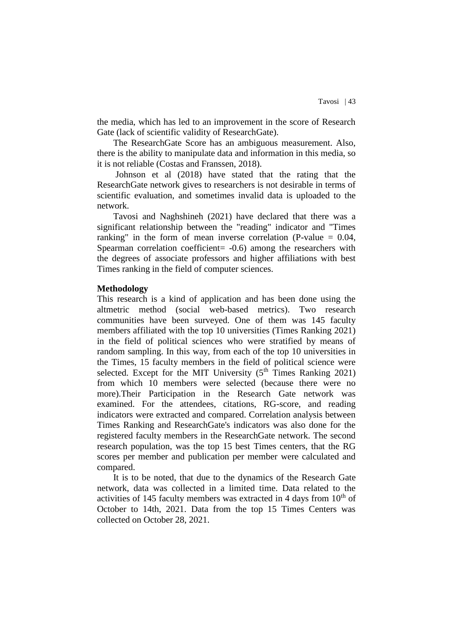the media, which has led to an improvement in the score of Research Gate (lack of scientific validity of ResearchGate).

The ResearchGate Score has an ambiguous measurement. Also, there is the ability to manipulate data and information in this media, so it is not reliable (Costas and Franssen, 2018).

Johnson et al (2018) have stated that the rating that the ResearchGate network gives to researchers is not desirable in terms of scientific evaluation, and sometimes invalid data is uploaded to the network.

Tavosi and Naghshineh (2021) have declared that there was a significant relationship between the "reading" indicator and "Times ranking" in the form of mean inverse correlation (P-value  $= 0.04$ , Spearman correlation coefficient= -0.6) among the researchers with the degrees of associate professors and higher affiliations with best Times ranking in the field of computer sciences.

#### **Methodology**

This research is a kind of application and has been done using the altmetric method (social web-based metrics). Two research communities have been surveyed. One of them was 145 faculty members affiliated with the top 10 universities (Times Ranking 2021) in the field of political sciences who were stratified by means of random sampling. In this way, from each of the top 10 universities in the Times, 15 faculty members in the field of political science were selected. Except for the MIT University (5<sup>th</sup> Times Ranking 2021) from which 10 members were selected (because there were no more).Their Participation in the Research Gate network was examined. For the attendees, citations, RG-score, and reading indicators were extracted and compared. Correlation analysis between Times Ranking and ResearchGate's indicators was also done for the registered faculty members in the ResearchGate network. The second research population, was the top 15 best Times centers, that the RG scores per member and publication per member were calculated and compared.

It is to be noted, that due to the dynamics of the Research Gate network, data was collected in a limited time. Data related to the activities of 145 faculty members was extracted in 4 days from  $10<sup>th</sup>$  of October to 14th, 2021. Data from the top 15 Times Centers was collected on October 28, 2021.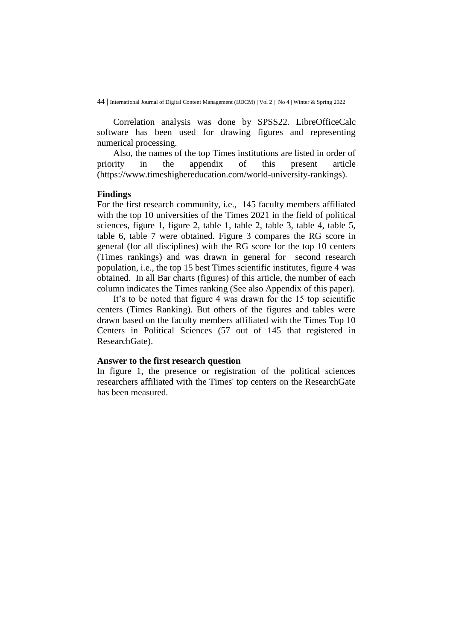Correlation analysis was done by SPSS22. LibreOfficeCalc software has been used for drawing figures and representing numerical processing.

Also, the names of the top Times institutions are listed in order of priority in the appendix of this present article [\(https://www.timeshighereducation.com/world-university-rankings\)](https://www.timeshighereducation.com/world-university-rankings).

#### **Findings**

For the first research community, i.e., 145 faculty members affiliated with the top 10 universities of the Times 2021 in the field of political sciences, figure 1, figure 2, table 1, table 2, table 3, table 4, table 5, table 6, table 7 were obtained. Figure 3 compares the RG score in general (for all disciplines) with the RG score for the top 10 centers (Times rankings) and was drawn in general for second research population, i.e., the top 15 best Times scientific institutes, figure 4 was obtained. In all Bar charts (figures) of this article, the number of each column indicates the Times ranking (See also Appendix of this paper).

It's to be noted that figure 4 was drawn for the 15 top scientific centers (Times Ranking). But others of the figures and tables were drawn based on the faculty members affiliated with the Times Top 10 Centers in Political Sciences (57 out of 145 that registered in ResearchGate).

#### **Answer to the first research question**

In figure 1, the presence or registration of the political sciences researchers affiliated with the Times' top centers on the ResearchGate has been measured.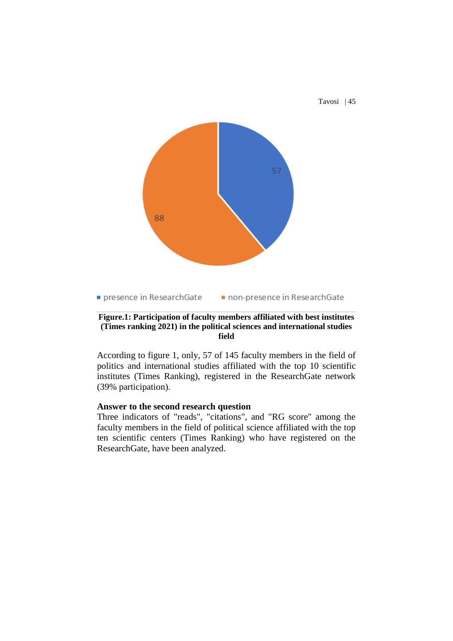

### **Figure.1: Participation of faculty members affiliated with best institutes (Times ranking 2021) in the political sciences and international studies field**

According to figure 1, only, 57 of 145 faculty members in the field of politics and international studies affiliated with the top 10 scientific institutes (Times Ranking), registered in the ResearchGate network (39% participation).

## **Answer to the second research question**

Three indicators of "reads", "citations", and "RG score" among the faculty members in the field of political science affiliated with the top ten scientific centers (Times Ranking) who have registered on the ResearchGate, have been analyzed.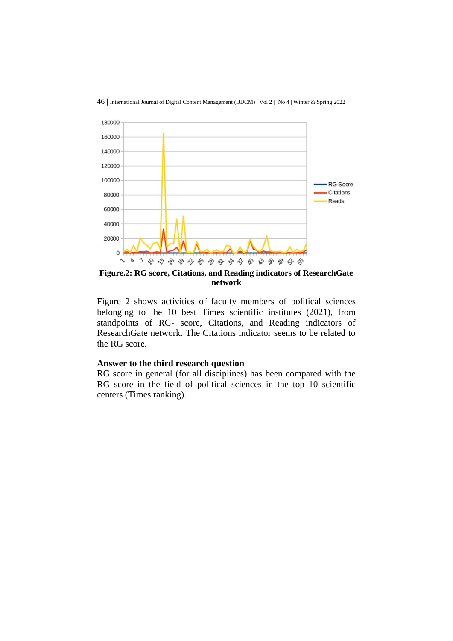



**Figure.2: RG score, Citations, and Reading indicators of ResearchGate network**

Figure 2 shows activities of faculty members of political sciences belonging to the 10 best Times scientific institutes (2021), from standpoints of RG- score, Citations, and Reading indicators of ResearchGate network. The Citations indicator seems to be related to the RG score.

### **Answer to the third research question**

RG score in general (for all disciplines) has been compared with the RG score in the field of political sciences in the top 10 scientific centers (Times ranking).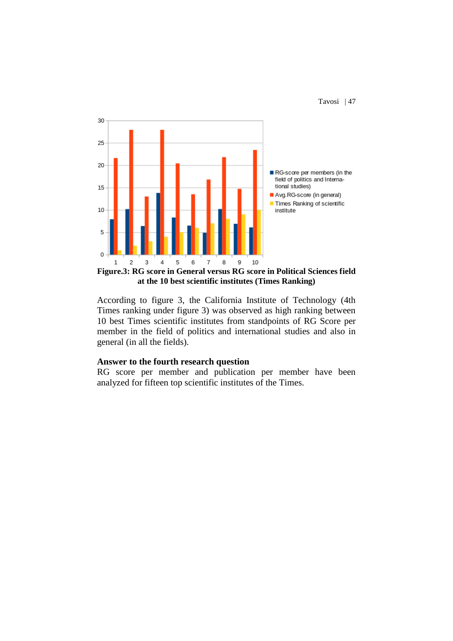

**Figure.3: RG score in General versus RG score in Political Sciences field at the 10 best scientific institutes (Times Ranking)**

According to figure 3, the California Institute of Technology (4th Times ranking under figure 3) was observed as high ranking between 10 best Times scientific institutes from standpoints of RG Score per member in the field of politics and international studies and also in general (in all the fields).

#### **Answer to the fourth research question**

RG score per member and publication per member have been analyzed for fifteen top scientific institutes of the Times.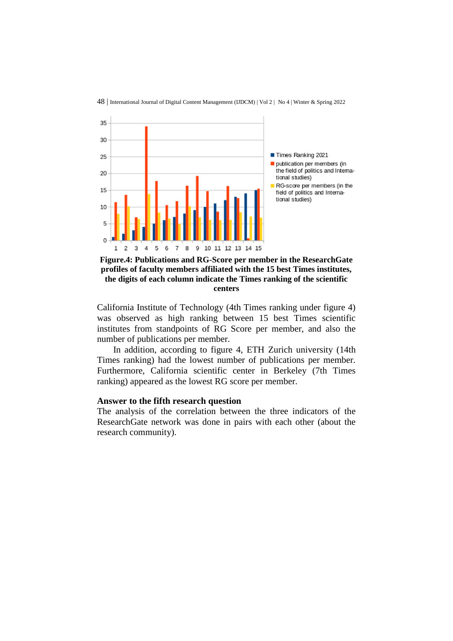

**Figure.4: Publications and RG-Score per member in the ResearchGate profiles of faculty members affiliated with the 15 best Times institutes, the digits of each column indicate the Times ranking of the scientific centers**

California Institute of Technology (4th Times ranking under figure 4) was observed as high ranking between 15 best Times scientific institutes from standpoints of RG Score per member, and also the number of publications per member.

In addition, according to figure 4, ETH Zurich university (14th Times ranking) had the lowest number of publications per member. Furthermore, California scientific center in Berkeley (7th Times ranking) appeared as the lowest RG score per member.

#### **Answer to the fifth research question**

The analysis of the correlation between the three indicators of the ResearchGate network was done in pairs with each other (about the research community).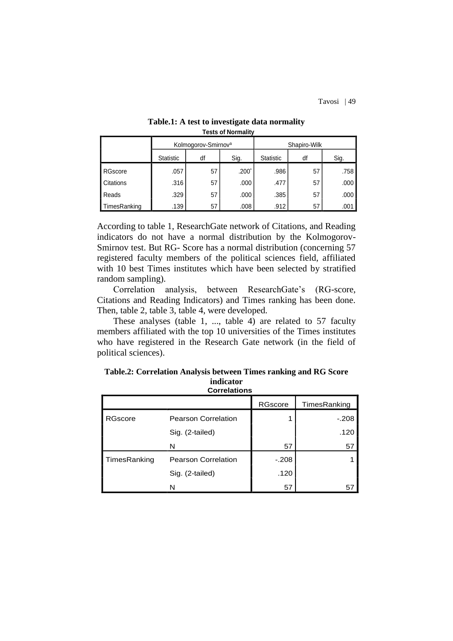|              | Kolmogorov-Smirnov <sup>a</sup> |    |         | Shapiro-Wilk |    |      |
|--------------|---------------------------------|----|---------|--------------|----|------|
|              | <b>Statistic</b>                | df | Sig.    | Statistic    | df | Sig. |
| RGscore      | .057                            | 57 | $.200*$ | .986         | 57 | .758 |
| Citations    | .316                            | 57 | .000    | .477         | 57 | .000 |
| Reads        | .329                            | 57 | .000    | .385         | 57 | .000 |
| TimesRanking | .139                            | 57 | .008    | .912         | 57 | .001 |

#### **Table.1: A test to investigate data normality Tests of Normality**

According to table 1, ResearchGate network of Citations, and Reading indicators do not have a normal distribution by the Kolmogorov-Smirnov test. But RG- Score has a normal distribution (concerning 57 registered faculty members of the political sciences field, affiliated with 10 best Times institutes which have been selected by stratified random sampling).

Correlation analysis, between ResearchGate's (RG-score, Citations and Reading Indicators) and Times ranking has been done. Then, table 2, table 3, table 4, were developed.

These analyses (table 1, ..., table 4) are related to 57 faculty members affiliated with the top 10 universities of the Times institutes who have registered in the Research Gate network (in the field of political sciences).

**Table.2: Correlation Analysis between Times ranking and RG Score indicator Correlations**

|                |                            | <b>RGscore</b> | TimesRanking |  |  |  |
|----------------|----------------------------|----------------|--------------|--|--|--|
| <b>RGscore</b> | <b>Pearson Correlation</b> |                | $-.208$      |  |  |  |
|                | Sig. (2-tailed)            |                | .120         |  |  |  |
|                | N                          | 57             | 57           |  |  |  |
| TimesRanking   | <b>Pearson Correlation</b> | $-.208$        |              |  |  |  |
|                | Sig. (2-tailed)            | .120           |              |  |  |  |
|                | N                          | 57             | 57           |  |  |  |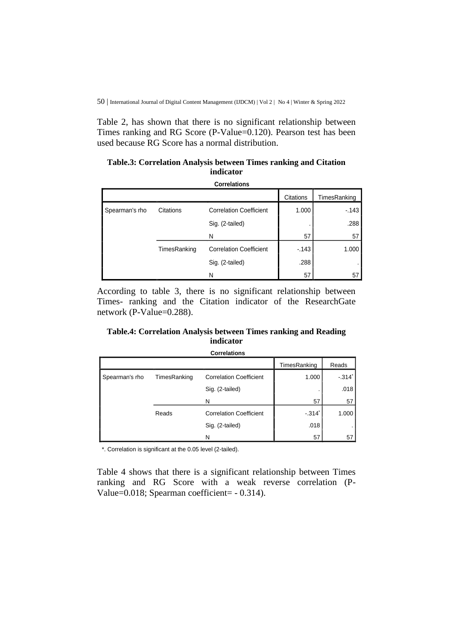Table 2, has shown that there is no significant relationship between Times ranking and RG Score (P-Value=0.120). Pearson test has been used because RG Score has a normal distribution.

### **Table.3: Correlation Analysis between Times ranking and Citation indicator**

| <b>Correlations</b> |              |                                |           |              |  |
|---------------------|--------------|--------------------------------|-----------|--------------|--|
|                     |              |                                | Citations | TimesRanking |  |
| Spearman's rho      | Citations    | <b>Correlation Coefficient</b> | 1.000     | $-143$       |  |
|                     |              | Sig. (2-tailed)                |           | .288         |  |
|                     |              | N                              | 57        | 57           |  |
|                     | TimesRanking | <b>Correlation Coefficient</b> | $-143$    | 1.000        |  |
|                     |              | Sig. (2-tailed)                | .288      | ٠            |  |
|                     |              | N                              | 57        | 57           |  |

According to table 3, there is no significant relationship between Times- ranking and the Citation indicator of the ResearchGate network (P-Value=0.288).

## **Table.4: Correlation Analysis between Times ranking and Reading indicator**

**Correlations**

|                |              |                                | TimesRanking        | Reads    |
|----------------|--------------|--------------------------------|---------------------|----------|
| Spearman's rho | TimesRanking | <b>Correlation Coefficient</b> | 1.000               | $-.314"$ |
|                |              | Sig. (2-tailed)                |                     | .018     |
|                |              | N                              | 57                  | 57       |
|                | Reads        | <b>Correlation Coefficient</b> | $-314$ <sup>*</sup> | 1.000    |
|                |              | Sig. (2-tailed)                | .018                |          |
|                |              | N                              | 57                  | 57       |

\*. Correlation is significant at the 0.05 level (2-tailed).

Table 4 shows that there is a significant relationship between Times ranking and RG Score with a weak reverse correlation (P-Value=0.018; Spearman coefficient= - 0.314).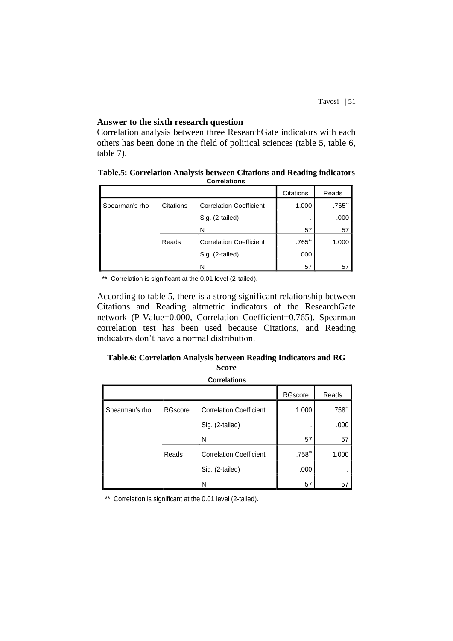### **Answer to the sixth research question**

Correlation analysis between three ResearchGate indicators with each others has been done in the field of political sciences (table 5, table 6, table 7).

| Table.5: Correlation Analysis between Citations and Reading indicators |  |
|------------------------------------------------------------------------|--|
| <b>Correlations</b>                                                    |  |

|                |           |                                | Citations | Reads     |
|----------------|-----------|--------------------------------|-----------|-----------|
| Spearman's rho | Citations | <b>Correlation Coefficient</b> | 1.000     | $.765$ ** |
|                |           | Sig. (2-tailed)                |           | .000      |
|                |           | N                              | 57        | 57        |
|                | Reads     | <b>Correlation Coefficient</b> | $.765$ ** | 1.000     |
|                |           | Sig. (2-tailed)                | .000      |           |
|                |           | N                              | 57        | 57        |

\*\*. Correlation is significant at the 0.01 level (2-tailed).

According to table 5, there is a strong significant relationship between Citations and Reading altmetric indicators of the ResearchGate network (P-Value=0.000, Correlation Coefficient=0.765). Spearman correlation test has been used because Citations, and Reading indicators don't have a normal distribution.

## **Table.6: Correlation Analysis between Reading Indicators and RG Score**

**Correlations**

|                |         |                                | RGscore  | Reads  |
|----------------|---------|--------------------------------|----------|--------|
| Spearman's rho | RGscore | <b>Correlation Coefficient</b> | 1.000    | .758** |
|                |         | Sig. (2-tailed)                |          | .000   |
|                |         | Ν                              | 57       | 57     |
|                | Reads   | <b>Correlation Coefficient</b> | $.758**$ | 1.000  |
|                |         | Sig. (2-tailed)                | .000     | ٠      |
|                |         | Ν                              | 57       | 57     |

\*\*. Correlation is significant at the 0.01 level (2-tailed).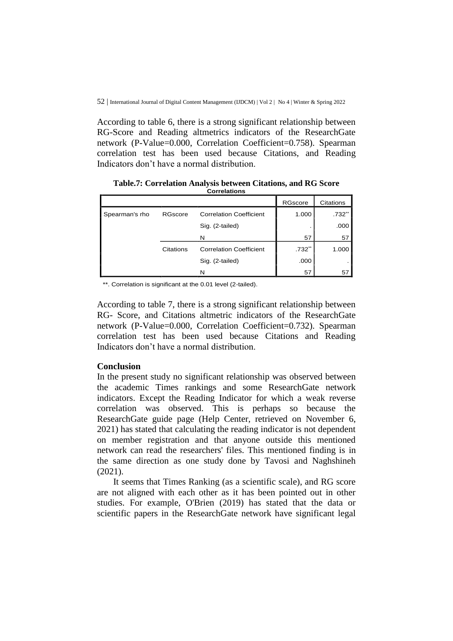According to table 6, there is a strong significant relationship between RG-Score and Reading altmetrics indicators of the ResearchGate network (P-Value=0.000, Correlation Coefficient=0.758). Spearman correlation test has been used because Citations, and Reading Indicators don't have a normal distribution.

|                |           |                                | RGscore  | Citations |
|----------------|-----------|--------------------------------|----------|-----------|
| Spearman's rho | RGscore   | <b>Correlation Coefficient</b> | 1.000    | $.732$ ** |
|                |           | Sig. (2-tailed)                |          | .000      |
|                |           | N                              | 57       | 57        |
|                | Citations | <b>Correlation Coefficient</b> | $.732**$ | 1.000     |
|                |           | Sig. (2-tailed)                | .000     |           |
|                |           | N                              | 57       | 57        |

**Table.7: Correlation Analysis between Citations, and RG Score Correlations**

\*\*. Correlation is significant at the 0.01 level (2-tailed).

According to table 7, there is a strong significant relationship between RG- Score, and Citations altmetric indicators of the ResearchGate network (P-Value=0.000, Correlation Coefficient=0.732). Spearman correlation test has been used because Citations and Reading Indicators don't have a normal distribution.

#### **Conclusion**

In the present study no significant relationship was observed between the academic Times rankings and some ResearchGate network indicators. Except the Reading Indicator for which a weak reverse correlation was observed. This is perhaps so because the ResearchGate guide page (Help Center, retrieved on November 6, 2021) has stated that calculating the reading indicator is not dependent on member registration and that anyone outside this mentioned network can read the researchers' files. This mentioned finding is in the same direction as one study done by Tavosi and Naghshineh (2021).

It seems that Times Ranking (as a scientific scale), and RG score are not aligned with each other as it has been pointed out in other studies. For example, O'Brien (2019) has stated that the data or scientific papers in the ResearchGate network have significant legal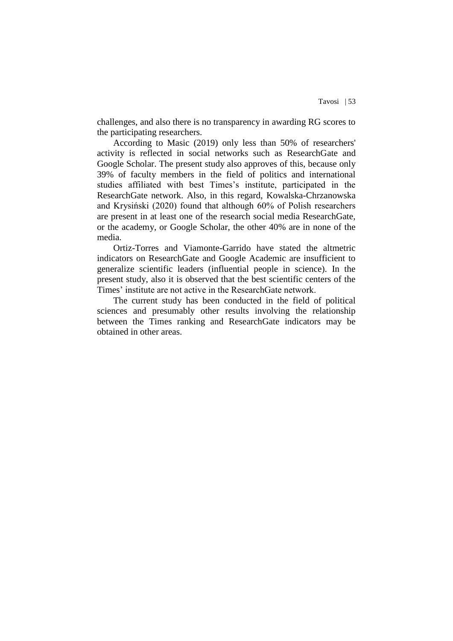challenges, and also there is no transparency in awarding RG scores to the participating researchers.

According to Masic (2019) only less than 50% of researchers' activity is reflected in social networks such as ResearchGate and Google Scholar. The present study also approves of this, because only 39% of faculty members in the field of politics and international studies affiliated with best Times's institute, participated in the ResearchGate network. Also, in this regard, Kowalska-Chrzanowska and Krysiński (2020) found that although 60% of Polish researchers are present in at least one of the research social media ResearchGate, or the academy, or Google Scholar, the other 40% are in none of the media.

Ortiz-Torres and Viamonte-Garrido have stated the altmetric indicators on ResearchGate and Google Academic are insufficient to generalize scientific leaders (influential people in science). In the present study, also it is observed that the best scientific centers of the Times' institute are not active in the ResearchGate network.

The current study has been conducted in the field of political sciences and presumably other results involving the relationship between the Times ranking and ResearchGate indicators may be obtained in other areas.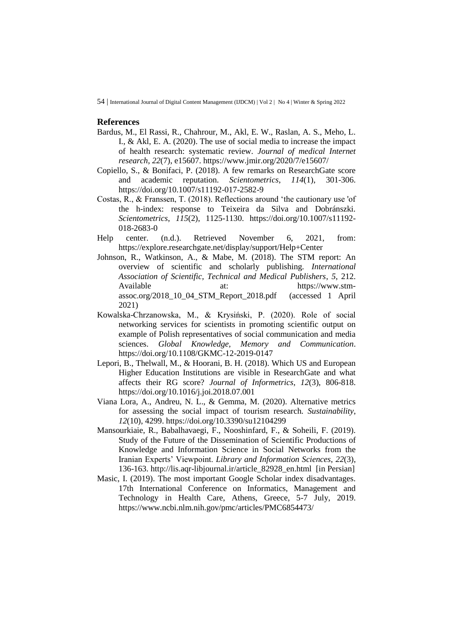#### **References**

- Bardus, M., El Rassi, R., Chahrour, M., Akl, E. W., Raslan, A. S., Meho, L. I., & Akl, E. A. (2020). The use of social media to increase the impact of health research: systematic review. *Journal of medical Internet research*, *22*(7), e15607.<https://www.jmir.org/2020/7/e15607/>
- Copiello, S., & Bonifaci, P. (2018). A few remarks on ResearchGate score and academic reputation. *Scientometrics*, *114*(1), 301-306. <https://doi.org/10.1007/s11192-017-2582-9>
- Costas, R., & Franssen, T. (2018). Reflections around 'the cautionary use 'of the h-index: response to Teixeira da Silva and Dobránszki. *Scientometrics*, *115*(2), 1125-1130. [https://doi.org/10.1007/s11192-](https://doi.org/10.1007/s11192-018-2683-0) [018-2683-0](https://doi.org/10.1007/s11192-018-2683-0)
- Help center. (n.d.). Retrieved November 6, 2021, from: <https://explore.researchgate.net/display/support/Help+Center>
- Johnson, R., Watkinson, A., & Mabe, M. (2018). The STM report: An overview of scientific and scholarly publishing. *International Association of Scientific, Technical and Medical Publishers*, *5*, 212. Available at: [https://www.stm](https://www.stm-assoc.org/2018_10_04_STM_Report_2018.pdf)[assoc.org/2018\\_10\\_04\\_STM\\_Report\\_2018.pdf](https://www.stm-assoc.org/2018_10_04_STM_Report_2018.pdf) (accessed 1 April 2021)
- Kowalska-Chrzanowska, M., & Krysiński, P. (2020). Role of social networking services for scientists in promoting scientific output on example of Polish representatives of social communication and media sciences. *Global Knowledge, Memory and Communication*. <https://doi.org/10.1108/GKMC-12-2019-0147>
- Lepori, B., Thelwall, M., & Hoorani, B. H. (2018). Which US and European Higher Education Institutions are visible in ResearchGate and what affects their RG score? *Journal of Informetrics*, *12*(3), 806-818. <https://doi.org/10.1016/j.joi.2018.07.001>
- Viana Lora, A., Andreu, N. L., & Gemma, M. (2020). Alternative metrics for assessing the social impact of tourism research. *Sustainability*, *12*(10), 4299.<https://doi.org/10.3390/su12104299>
- Mansourkiaie, R., Babalhavaegi, F., Nooshinfard, F., & Soheili, F. (2019). Study of the Future of the Dissemination of Scientific Productions of Knowledge and Information Science in Social Networks from the Iranian Experts' Viewpoint. *Library and Information Sciences*, *22*(3), 136-163. [http://lis.aqr-libjournal.ir/article\\_82928\\_en.html](http://lis.aqr-libjournal.ir/article_82928_en.html) [in Persian]
- Masic, I. (2019). The most important Google Scholar index disadvantages. 17th International Conference on Informatics, Management and Technology in Health Care, Athens, Greece, 5-7 July, 2019. <https://www.ncbi.nlm.nih.gov/pmc/articles/PMC6854473/>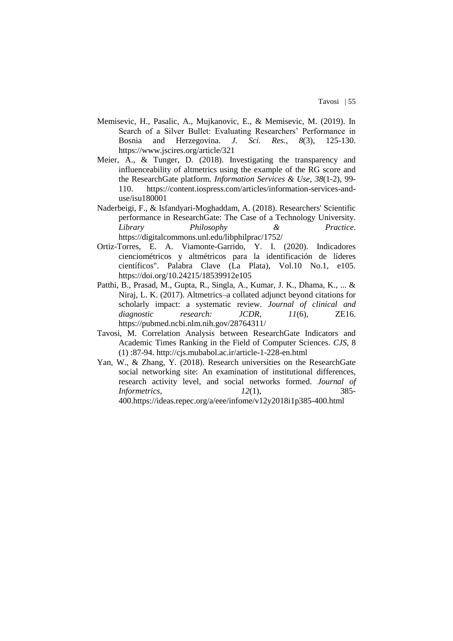- Memisevic, H., Pasalic, A., Mujkanovic, E., & Memisevic, M. (2019). In Search of a Silver Bullet: Evaluating Researchers' Performance in Bosnia and Herzegovina. *J. Sci. Res.*, *8*(3), 125-130. <https://www.jscires.org/article/321>
- Meier, A., & Tunger, D. (2018). Investigating the transparency and influenceability of altmetrics using the example of the RG score and the ResearchGate platform. *Information Services & Use*, *38*(1-2), 99- 110. [https://content.iospress.com/articles/information-services-and](https://content.iospress.com/articles/information-services-and-use/isu180001)[use/isu180001](https://content.iospress.com/articles/information-services-and-use/isu180001)
- Naderbeigi, F., & Isfandyari-Moghaddam, A. (2018). Researchers' Scientific performance in ResearchGate: The Case of a Technology University. *Library Philosophy & Practice*. <https://digitalcommons.unl.edu/libphilprac/1752/>
- Ortiz-Torres, E. A. Viamonte-Garrido, Y. I. (2020). Indicadores cienciométricos y altmétricos para la identificación de líderes científicos". Palabra Clave (La Plata), Vol.10 No.1, e105. <https://doi.org/10.24215/18539912e105>
- Patthi, B., Prasad, M., Gupta, R., Singla, A., Kumar, J. K., Dhama, K., ... & Niraj, L. K. (2017). Altmetrics–a collated adjunct beyond citations for scholarly impact: a systematic review. *Journal of clinical and diagnostic research: JCDR*, *11*(6), ZE16. <https://pubmed.ncbi.nlm.nih.gov/28764311/>
- Tavosi, M. Correlation Analysis between ResearchGate Indicators and Academic Times Ranking in the Field of Computer Sciences. *CJS*, 8 (1) :87-94.<http://cjs.mubabol.ac.ir/article-1-228-en.html>
- Yan, W., & Zhang, Y. (2018). Research universities on the ResearchGate social networking site: An examination of institutional differences, research activity level, and social networks formed. *Journal of Informetrics*, *12*(1), 385- 400[.https://ideas.repec.org/a/eee/infome/v12y2018i1p385-400.html](https://ideas.repec.org/a/eee/infome/v12y2018i1p385-400.html)